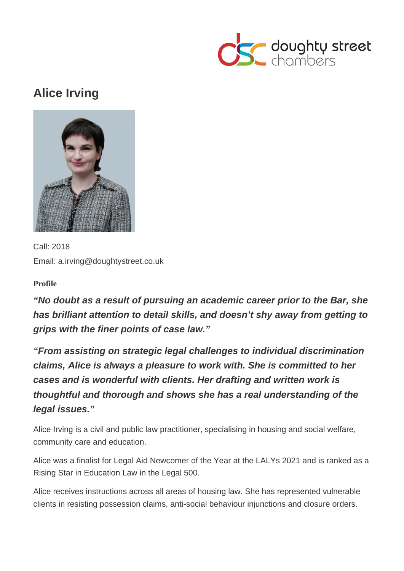

# **Alice Irving**



Call: 2018 Email: a.irving@doughtystreet.co.uk

**Profile**

**"No doubt as a result of pursuing an academic career prior to the Bar, she has brilliant attention to detail skills, and doesn't shy away from getting to grips with the finer points of case law."**

**"From assisting on strategic legal challenges to individual discrimination claims, Alice is always a pleasure to work with. She is committed to her cases and is wonderful with clients. Her drafting and written work is thoughtful and thorough and shows she has a real understanding of the legal issues."**

Alice Irving is a civil and public law practitioner, specialising in housing and social welfare, community care and education.

Alice was a finalist for Legal Aid Newcomer of the Year at the LALYs 2021 and is ranked as a Rising Star in Education Law in the Legal 500.

Alice receives instructions across all areas of housing law. She has represented vulnerable clients in resisting possession claims, anti-social behaviour injunctions and closure orders.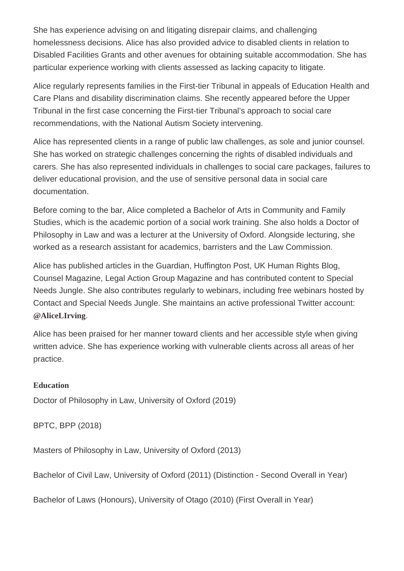She has experience advising on and litigating disrepair claims, and challenging homelessness decisions. Alice has also provided advice to disabled clients in relation to Disabled Facilities Grants and other avenues for obtaining suitable accommodation. She has particular experience working with clients assessed as lacking capacity to litigate.

Alice regularly represents families in the First-tier Tribunal in appeals of Education Health and Care Plans and disability discrimination claims. She recently appeared before the Upper Tribunal in the first case concerning the First-tier Tribunal's approach to social care recommendations, with the National Autism Society intervening.

Alice has represented clients in a range of public law challenges, as sole and junior counsel. She has worked on strategic challenges concerning the rights of disabled individuals and carers. She has also represented individuals in challenges to social care packages, failures to deliver educational provision, and the use of sensitive personal data in social care documentation.

Before coming to the bar, Alice completed a Bachelor of Arts in Community and Family Studies, which is the academic portion of a social work training. She also holds a Doctor of Philosophy in Law and was a lecturer at the University of Oxford. Alongside lecturing, she worked as a research assistant for academics, barristers and the Law Commission.

Alice has published articles in the Guardian, Huffington Post, UK Human Rights Blog, Counsel Magazine, Legal Action Group Magazine and has contributed content to Special Needs Jungle. She also contributes regularly to webinars, including free webinars hosted by Contact and Special Needs Jungle. She maintains an active professional Twitter account: [@AliceLIrving](https://twitter.com/AliceLIrving) .

Alice has been praised for her manner toward clients and her accessible style when giving written advice. She has experience working with vulnerable clients across all areas of her practice.

**Education** Doctor of Philosophy in Law, University of Oxford (2019)

BPTC, BPP (2018)

Masters of Philosophy in Law, University of Oxford (2013)

Bachelor of Civil Law, University of Oxford (2011) (Distinction - Second Overall in Year)

Bachelor of Laws (Honours), University of Otago (2010) (First Overall in Year)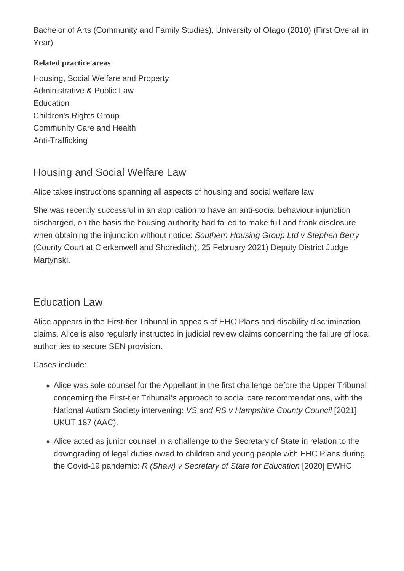Bachelor of Arts (Community and Family Studies), University of Otago (2010) (First Overall in Year)

#### **Related practice areas**

Housing, Social Welfare and Property Administrative & Public Law **Education** Children's Rights Group Community Care and Health Anti-Trafficking

### Housing and Social Welfare Law

Alice takes instructions spanning all aspects of housing and social welfare law.

She was recently successful in an application to have an anti-social behaviour injunction discharged, on the basis the housing authority had failed to make full and frank disclosure when obtaining the injunction without notice: Southern Housing Group Ltd v Stephen Berry (County Court at Clerkenwell and Shoreditch), 25 February 2021) Deputy District Judge Martynski.

#### Education Law

Alice appears in the First-tier Tribunal in appeals of EHC Plans and disability discrimination claims. Alice is also regularly instructed in judicial review claims concerning the failure of local authorities to secure SEN provision.

Cases include:

- Alice was sole counsel for the Appellant in the first challenge before the Upper Tribunal concerning the First-tier Tribunal's approach to social care recommendations, with the National Autism Society intervening: VS and RS v Hampshire County Council [2021] UKUT 187 (AAC).
- Alice acted as junior counsel in a challenge to the Secretary of State in relation to the downgrading of legal duties owed to children and young people with EHC Plans during the Covid-19 pandemic: R (Shaw) v Secretary of State for Education [2020] EWHC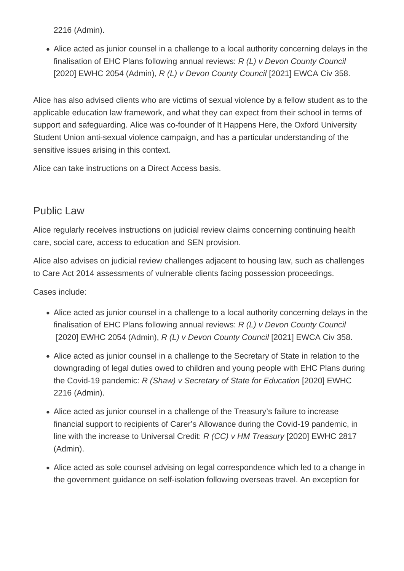2216 (Admin).

Alice acted as junior counsel in a challenge to a local authority concerning delays in the finalisation of EHC Plans following annual reviews: R (L) v Devon County Council [2020] EWHC 2054 (Admin), R (L) v Devon County Council [2021] EWCA Civ 358.

Alice has also advised clients who are victims of sexual violence by a fellow student as to the applicable education law framework, and what they can expect from their school in terms of support and safeguarding. Alice was co-founder of It Happens Here, the Oxford University Student Union anti-sexual violence campaign, and has a particular understanding of the sensitive issues arising in this context.

Alice can take instructions on a Direct Access basis.

#### Public Law

Alice regularly receives instructions on judicial review claims concerning continuing health care, social care, access to education and SEN provision.

Alice also advises on judicial review challenges adjacent to housing law, such as challenges to Care Act 2014 assessments of vulnerable clients facing possession proceedings.

Cases include:

- Alice acted as junior counsel in a challenge to a local authority concerning delays in the finalisation of EHC Plans following annual reviews: R (L) v Devon County Council [2020] EWHC 2054 (Admin), R (L) v Devon County Council [2021] EWCA Civ 358.
- Alice acted as junior counsel in a challenge to the Secretary of State in relation to the downgrading of legal duties owed to children and young people with EHC Plans during the Covid-19 pandemic: R (Shaw) v Secretary of State for Education [2020] EWHC 2216 (Admin).
- Alice acted as junior counsel in a challenge of the Treasury's failure to increase financial support to recipients of Carer's Allowance during the Covid-19 pandemic, in line with the increase to Universal Credit: R (CC) v HM Treasury [2020] EWHC 2817 (Admin).
- Alice acted as sole counsel advising on legal correspondence which led to a change in the government guidance on self-isolation following overseas travel. An exception for